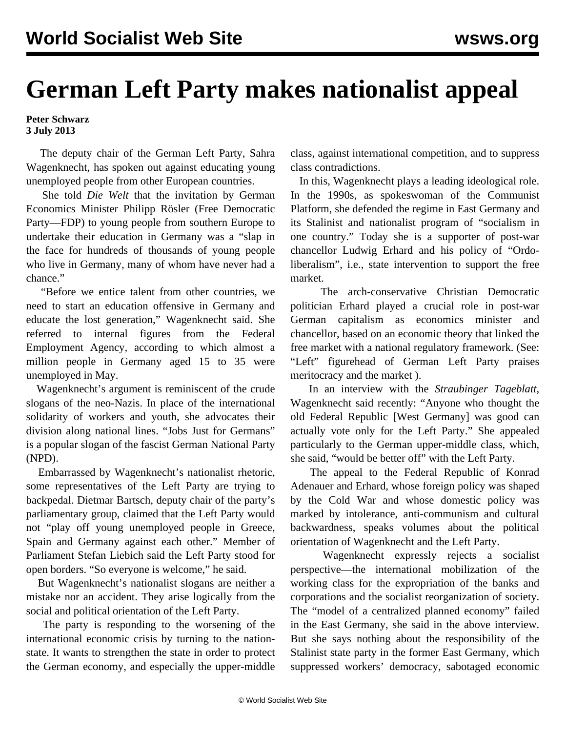## **German Left Party makes nationalist appeal**

**Peter Schwarz 3 July 2013**

 The deputy chair of the German Left Party, Sahra Wagenknecht, has spoken out against educating young unemployed people from other European countries.

 She told *Die Welt* that the invitation by German Economics Minister Philipp Rösler (Free Democratic Party—FDP) to young people from southern Europe to undertake their education in Germany was a "slap in the face for hundreds of thousands of young people who live in Germany, many of whom have never had a chance."

 "Before we entice talent from other countries, we need to start an education offensive in Germany and educate the lost generation," Wagenknecht said. She referred to internal figures from the Federal Employment Agency, according to which almost a million people in Germany aged 15 to 35 were unemployed in May.

 Wagenknecht's argument is reminiscent of the crude slogans of the neo-Nazis. In place of the international solidarity of workers and youth, she advocates their division along national lines. "Jobs Just for Germans" is a popular slogan of the fascist German National Party (NPD).

 Embarrassed by Wagenknecht's nationalist rhetoric, some representatives of the Left Party are trying to backpedal. Dietmar Bartsch, deputy chair of the party's parliamentary group, claimed that the Left Party would not "play off young unemployed people in Greece, Spain and Germany against each other." Member of Parliament Stefan Liebich said the Left Party stood for open borders. "So everyone is welcome," he said.

 But Wagenknecht's nationalist slogans are neither a mistake nor an accident. They arise logically from the social and political orientation of the Left Party.

 The party is responding to the worsening of the international economic crisis by turning to the nationstate. It wants to strengthen the state in order to protect the German economy, and especially the upper-middle

class, against international competition, and to suppress class contradictions.

 In this, Wagenknecht plays a leading ideological role. In the 1990s, as spokeswoman of the Communist Platform, she defended the regime in East Germany and its Stalinist and nationalist program of "socialism in one country." Today she is a supporter of post-war chancellor Ludwig Erhard and his policy of "Ordoliberalism", i.e., state intervention to support the free market.

 The arch-conservative Christian Democratic politician Erhard played a crucial role in post-war German capitalism as economics minister and chancellor, based on an economic theory that linked the free market with a national regulatory framework. (See: ["Left" figurehead of German Left Party praises](/en/articles/2011/06/germ-j20.html) [meritocracy and the market](/en/articles/2011/06/germ-j20.html) ).

 In an interview with the *Straubinger Tageblatt*, Wagenknecht said recently: "Anyone who thought the old Federal Republic [West Germany] was good can actually vote only for the Left Party." She appealed particularly to the German upper-middle class, which, she said, "would be better off" with the Left Party.

 The appeal to the Federal Republic of Konrad Adenauer and Erhard, whose foreign policy was shaped by the Cold War and whose domestic policy was marked by intolerance, anti-communism and cultural backwardness, speaks volumes about the political orientation of Wagenknecht and the Left Party.

 Wagenknecht expressly rejects a socialist perspective—the international mobilization of the working class for the expropriation of the banks and corporations and the socialist reorganization of society. The "model of a centralized planned economy" failed in the East Germany, she said in the above interview. But she says nothing about the responsibility of the Stalinist state party in the former East Germany, which suppressed workers' democracy, sabotaged economic